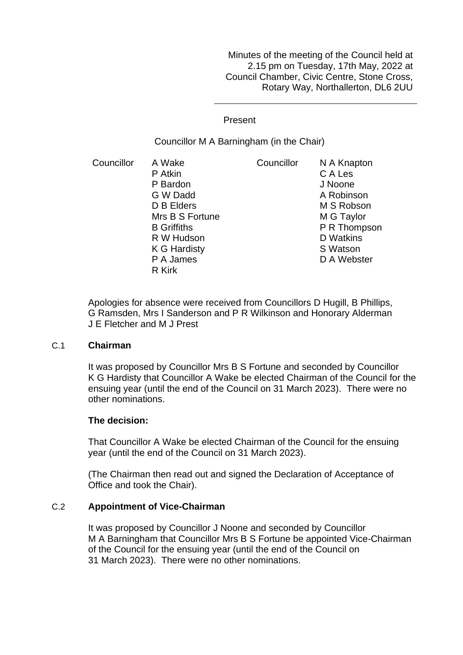Minutes of the meeting of the Council held at 2.15 pm on Tuesday, 17th May, 2022 at Council Chamber, Civic Centre, Stone Cross, Rotary Way, Northallerton, DL6 2UU

Present

Councillor M A Barningham (in the Chair)

Councillor A Wake P Atkin P Bardon G W Dadd D B Elders Mrs B S Fortune B Griffiths R W Hudson K G Hardisty P A James R Kirk Councillor N A Knapton C A Les J Noone A Robinson M S Robson M G Taylor P R Thompson D Watkins S Watson D A Webster

Apologies for absence were received from Councillors D Hugill, B Phillips, G Ramsden, Mrs I Sanderson and P R Wilkinson and Honorary Alderman J E Fletcher and M J Prest

#### C.1 **Chairman**

It was proposed by Councillor Mrs B S Fortune and seconded by Councillor K G Hardisty that Councillor A Wake be elected Chairman of the Council for the ensuing year (until the end of the Council on 31 March 2023). There were no other nominations.

# **The decision:**

That Councillor A Wake be elected Chairman of the Council for the ensuing year (until the end of the Council on 31 March 2023).

(The Chairman then read out and signed the Declaration of Acceptance of Office and took the Chair).

# C.2 **Appointment of Vice-Chairman**

It was proposed by Councillor J Noone and seconded by Councillor M A Barningham that Councillor Mrs B S Fortune be appointed Vice-Chairman of the Council for the ensuing year (until the end of the Council on 31 March 2023). There were no other nominations.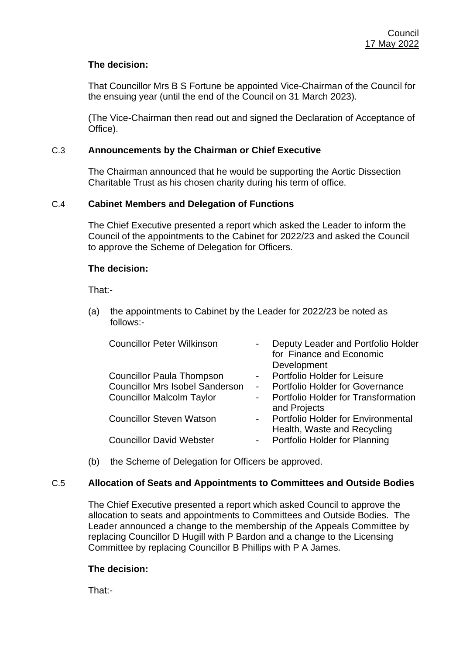# **The decision:**

That Councillor Mrs B S Fortune be appointed Vice-Chairman of the Council for the ensuing year (until the end of the Council on 31 March 2023).

(The Vice-Chairman then read out and signed the Declaration of Acceptance of Office).

## C.3 **Announcements by the Chairman or Chief Executive**

The Chairman announced that he would be supporting the Aortic Dissection Charitable Trust as his chosen charity during his term of office.

# C.4 **Cabinet Members and Delegation of Functions**

The Chief Executive presented a report which asked the Leader to inform the Council of the appointments to the Cabinet for 2022/23 and asked the Council to approve the Scheme of Delegation for Officers.

### **The decision:**

That:-

(a) the appointments to Cabinet by the Leader for 2022/23 be noted as follows:-

| <b>Councillor Peter Wilkinson</b>      | Deputy Leader and Portfolio Holder<br>for Finance and Economic<br>Development |
|----------------------------------------|-------------------------------------------------------------------------------|
| <b>Councillor Paula Thompson</b>       | Portfolio Holder for Leisure                                                  |
| <b>Councillor Mrs Isobel Sanderson</b> | <b>Portfolio Holder for Governance</b>                                        |
| <b>Councillor Malcolm Taylor</b>       | Portfolio Holder for Transformation<br>and Projects                           |
| <b>Councillor Steven Watson</b>        | <b>Portfolio Holder for Environmental</b><br>Health, Waste and Recycling      |
| <b>Councillor David Webster</b>        | Portfolio Holder for Planning                                                 |

(b) the Scheme of Delegation for Officers be approved.

# C.5 **Allocation of Seats and Appointments to Committees and Outside Bodies**

The Chief Executive presented a report which asked Council to approve the allocation to seats and appointments to Committees and Outside Bodies. The Leader announced a change to the membership of the Appeals Committee by replacing Councillor D Hugill with P Bardon and a change to the Licensing Committee by replacing Councillor B Phillips with P A James.

#### **The decision:**

That:-